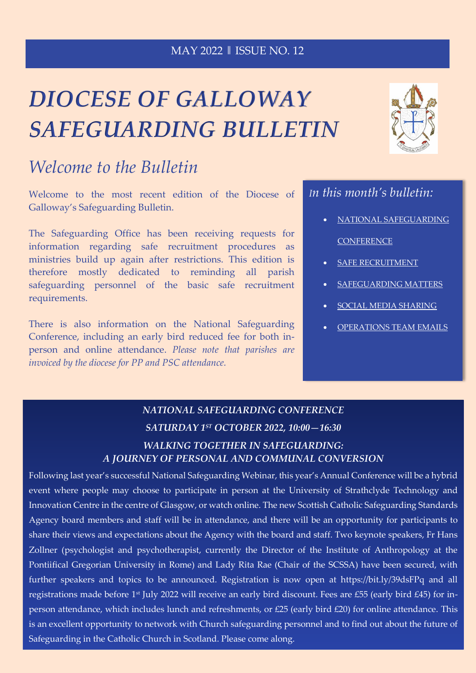### MAY 2022 ‖ ISSUE NO. 12

# *DIOCESE OF GALLOWAY SAFEGUARDING BULLETIN*

# *Welcome to the Bulletin*

Welcome to the most recent edition of the Diocese of Galloway's Safeguarding Bulletin.

The Safeguarding Office has been receiving requests for information regarding safe recruitment procedures as ministries build up again after restrictions. This edition is therefore mostly dedicated to reminding all parish safeguarding personnel of the basic safe recruitment requirements.

There is also information on the National Safeguarding Conference, including an early bird reduced fee for both inperson and online attendance. *Please note that parishes are invoiced by the diocese for PP and PSC attendance.*



## *In this month's bulletin:*

- NATIONAL SAFEGUARDING **CONFERENCE**
- [SAFE RECRUITMENT](#page-1-0)
- SAFEGUARDING MATTERS
- [SOCIAL MEDIA SHARING](#page-1-1)
- [OPERATIONS TEAM EMAILS](#page-1-2)

## *NATIONAL SAFEGUARDING CONFERENCE SATURDAY 1ST OCTOBER 2022, 10:00—16:30 WALKING TOGETHER IN SAFEGUARDING: A JOURNEY OF PERSONAL AND COMMUNAL CONVERSION*

Following last year's successful National Safeguarding Webinar, this year's Annual Conference will be a hybrid event where people may choose to participate in person at the University of Strathclyde Technology and Innovation Centre in the centre of Glasgow, or watch online. The new Scottish Catholic Safeguarding Standards Agency board members and staff will be in attendance, and there will be an opportunity for participants to share their views and expectations about the Agency with the board and staff. Two keynote speakers, Fr Hans Zollner (psychologist and psychotherapist, currently the Director of the Institute of Anthropology at the Pontiifical Gregorian University in Rome) and Lady Rita Rae (Chair of the SCSSA) have been secured, with further speakers and topics to be announced. Registration is now open at https://bit.ly/39dsFPq and all registrations made before 1st July 2022 will receive an early bird discount. Fees are £55 (early bird £45) for inperson attendance, which includes lunch and refreshments, or £25 (early bird £20) for online attendance. This is an excellent opportunity to network with Church safeguarding personnel and to find out about the future of Safeguarding in the Catholic Church in Scotland. Please come along.